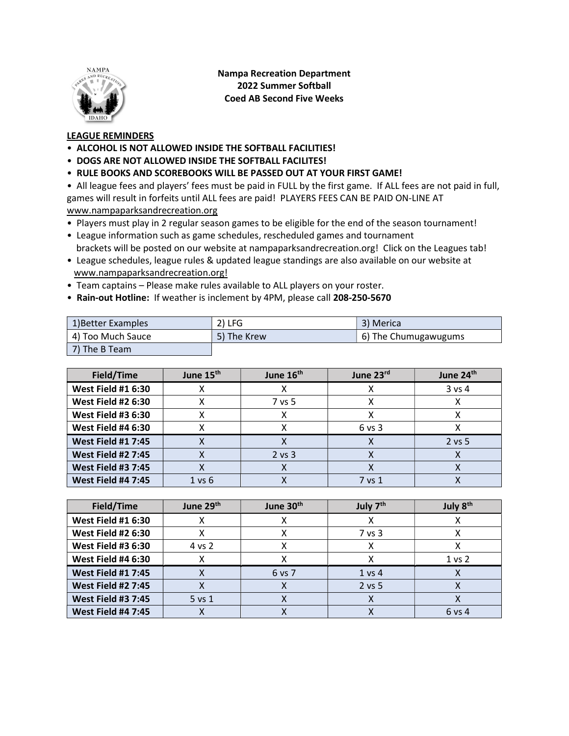

Nampa Recreation Department 2022 Summer Softball Coed AB Second Five Weeks

## LEAGUE REMINDERS

- ALCOHOL IS NOT ALLOWED INSIDE THE SOFTBALL FACILITIES!
- DOGS ARE NOT ALLOWED INSIDE THE SOFTBALL FACILITES!
- RULE BOOKS AND SCOREBOOKS WILL BE PASSED OUT AT YOUR FIRST GAME!

• All league fees and players' fees must be paid in FULL by the first game. If ALL fees are not paid in full, games will result in forfeits until ALL fees are paid! PLAYERS FEES CAN BE PAID ON-LINE AT www.nampaparksandrecreation.org

- Players must play in 2 regular season games to be eligible for the end of the season tournament!
- League information such as game schedules, rescheduled games and tournament brackets will be posted on our website at nampaparksandrecreation.org! Click on the Leagues tab!
- League schedules, league rules & updated league standings are also available on our website at www.nampaparksandrecreation.org!
- Team captains Please make rules available to ALL players on your roster.
- Rain-out Hotline: If weather is inclement by 4PM, please call 208-250-5670

| 1) Better Examples | $2)$ LFG    | 3) Merica            |
|--------------------|-------------|----------------------|
| 4) Too Much Sauce  | 5) The Krew | 6) The Chumugawugums |
| 7) The B Team      |             |                      |

| Field/Time                | June 15 <sup>th</sup> | June 16 <sup>th</sup> | June 23rd  | June 24th |
|---------------------------|-----------------------|-----------------------|------------|-----------|
| <b>West Field #1 6:30</b> |                       |                       |            | $3$ vs 4  |
| <b>West Field #2 6:30</b> |                       | 7 vs 5                |            |           |
| <b>West Field #3 6:30</b> |                       |                       |            |           |
| <b>West Field #4 6:30</b> |                       |                       | $6$ vs $3$ |           |
| <b>West Field #1 7:45</b> |                       |                       |            | $2$ vs 5  |
| <b>West Field #2 7:45</b> |                       | $2$ vs $3$            |            |           |
| <b>West Field #3 7:45</b> |                       |                       |            |           |
| <b>West Field #4 7:45</b> | 1 vs 6                |                       | 7 vs 1     |           |

| Field/Time                | June 29th  | June 30 <sup>th</sup> | July 7 <sup>th</sup> | July 8 <sup>th</sup> |
|---------------------------|------------|-----------------------|----------------------|----------------------|
| <b>West Field #1 6:30</b> |            |                       | л                    |                      |
| <b>West Field #2 6:30</b> |            |                       | 7 vs 3               |                      |
| <b>West Field #3 6:30</b> | 4 vs 2     |                       |                      |                      |
| <b>West Field #4 6:30</b> |            |                       |                      | 1 <sub>vs</sub> 2    |
| <b>West Field #1 7:45</b> |            | 6 vs 7                | 1 vs 4               |                      |
| <b>West Field #2 7:45</b> |            |                       | 2 vs 5               |                      |
| <b>West Field #3 7:45</b> | $5$ vs $1$ |                       |                      |                      |
| <b>West Field #4 7:45</b> |            |                       |                      | 6 vs 4               |